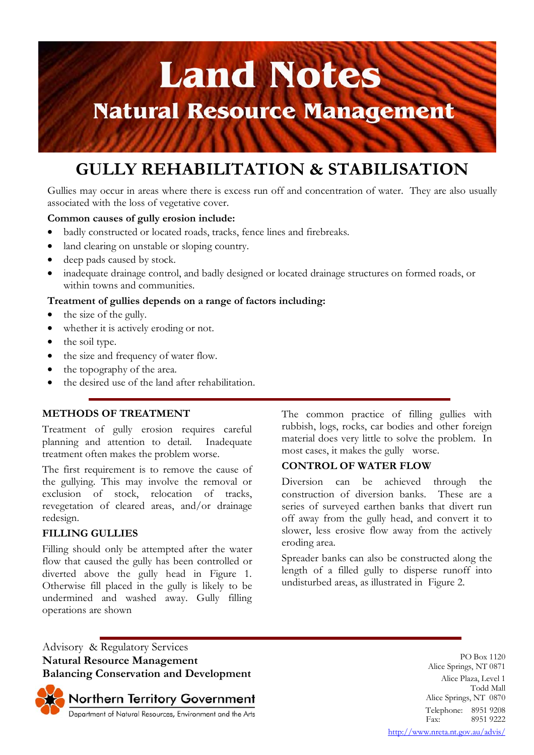# **Land Notes Natural Resource Management**

# **GULLY REHABILITATION & STABILISATION**

Gullies may occur in areas where there is excess run off and concentration of water. They are also usually associated with the loss of vegetative cover.

# **Common causes of gully erosion include:**

- badly constructed or located roads, tracks, fence lines and firebreaks.
- land clearing on unstable or sloping country.
- deep pads caused by stock.
- inadequate drainage control, and badly designed or located drainage structures on formed roads, or within towns and communities.

# **Treatment of gullies depends on a range of factors including:**

- the size of the gully.
- whether it is actively eroding or not.
- the soil type.
- the size and frequency of water flow.
- the topography of the area.
- the desired use of the land after rehabilitation.

# **METHODS OF TREATMENT**

Treatment of gully erosion requires careful planning and attention to detail. Inadequate treatment often makes the problem worse.

The first requirement is to remove the cause of the gullying. This may involve the removal or exclusion of stock, relocation of tracks, revegetation of cleared areas, and/or drainage redesign.

# **FILLING GULLIES**

Filling should only be attempted after the water flow that caused the gully has been controlled or diverted above the gully head in Figure 1. Otherwise fill placed in the gully is likely to be undermined and washed away. Gully filling operations are shown

The common practice of filling gullies with rubbish, logs, rocks, car bodies and other foreign material does very little to solve the problem. In most cases, it makes the gully worse.

# **CONTROL OF WATER FLOW**

Diversion can be achieved through the construction of diversion banks. These are a series of surveyed earthen banks that divert run off away from the gully head, and convert it to slower, less erosive flow away from the actively eroding area.

Spreader banks can also be constructed along the length of a filled gully to disperse runoff into undisturbed areas, as illustrated in Figure 2.

Advisory & Regulatory Services **Natural Resource Management Balancing Conservation and Development**

Northern Territory Government<br>Department of Natural Resources, Environment and the Arts

PO Box 1120 Alice Springs, NT 0871 Alice Plaza, Level 1 Todd Mall Alice Springs, NT 0870 Telephone: 8951 9208<br>Fax: 8951 9222 8951 9222 http://www.nreta.nt.gov.au/advis/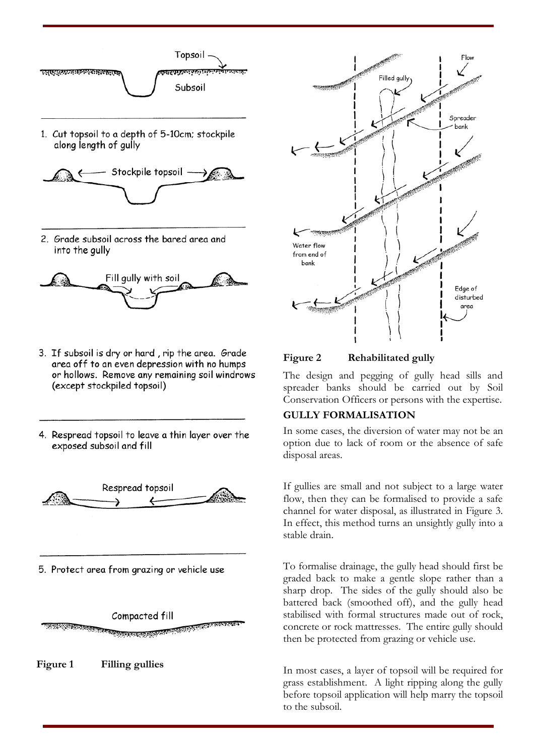



2. Grade subsoil across the bared area and into the gully



- 3. If subsoil is dry or hard, rip the area. Grade area off to an even depression with no humps or hollows. Remove any remaining soil windrows (except stockpiled topsoil)
- 4. Respread topsoil to leave a thin layer over the exposed subsoil and fill



5. Protect area from grazing or vehicle use



**Figure 1 Filling gullies** 



**Figure 2 Rehabilitated gully** 

The design and pegging of gully head sills and spreader banks should be carried out by Soil Conservation Officers or persons with the expertise.

# **GULLY FORMALISATION**

In some cases, the diversion of water may not be an option due to lack of room or the absence of safe disposal areas.

If gullies are small and not subject to a large water flow, then they can be formalised to provide a safe channel for water disposal, as illustrated in Figure 3. In effect, this method turns an unsightly gully into a stable drain.

To formalise drainage, the gully head should first be graded back to make a gentle slope rather than a sharp drop. The sides of the gully should also be battered back (smoothed off), and the gully head stabilised with formal structures made out of rock, concrete or rock mattresses. The entire gully should then be protected from grazing or vehicle use.

In most cases, a layer of topsoil will be required for grass establishment. A light ripping along the gully before topsoil application will help marry the topsoil to the subsoil.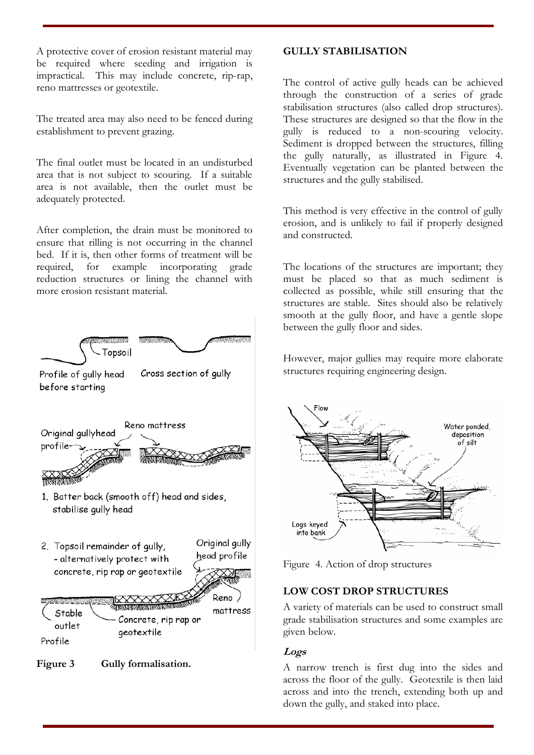A protective cover of erosion resistant material may be required where seeding and irrigation is impractical. This may include concrete, rip-rap, reno mattresses or geotextile.

The treated area may also need to be fenced during establishment to prevent grazing.

The final outlet must be located in an undisturbed area that is not subject to scouring. If a suitable area is not available, then the outlet must be adequately protected.

After completion, the drain must be monitored to ensure that rilling is not occurring in the channel bed. If it is, then other forms of treatment will be required, for example incorporating grade reduction structures or lining the channel with more erosion resistant material.



# **Figure 3 Gully formalisation.**

# **GULLY STABILISATION**

The control of active gully heads can be achieved through the construction of a series of grade stabilisation structures (also called drop structures). These structures are designed so that the flow in the gully is reduced to a non-scouring velocity. Sediment is dropped between the structures, filling the gully naturally, as illustrated in Figure 4. Eventually vegetation can be planted between the structures and the gully stabilised.

This method is very effective in the control of gully erosion, and is unlikely to fail if properly designed and constructed.

The locations of the structures are important; they must be placed so that as much sediment is collected as possible, while still ensuring that the structures are stable. Sites should also be relatively smooth at the gully floor, and have a gentle slope between the gully floor and sides.

However, major gullies may require more elaborate structures requiring engineering design.



Figure 4. Action of drop structures

# **LOW COST DROP STRUCTURES**

A variety of materials can be used to construct small grade stabilisation structures and some examples are given below.

# **Logs**

A narrow trench is first dug into the sides and across the floor of the gully. Geotextile is then laid across and into the trench, extending both up and down the gully, and staked into place.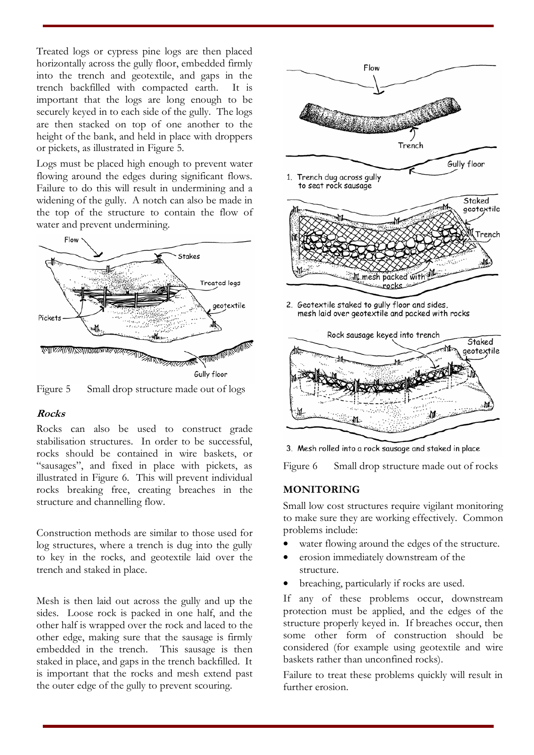Treated logs or cypress pine logs are then placed horizontally across the gully floor, embedded firmly into the trench and geotextile, and gaps in the trench backfilled with compacted earth. It is important that the logs are long enough to be securely keyed in to each side of the gully. The logs are then stacked on top of one another to the height of the bank, and held in place with droppers or pickets, as illustrated in Figure 5.

Logs must be placed high enough to prevent water flowing around the edges during significant flows. Failure to do this will result in undermining and a widening of the gully. A notch can also be made in the top of the structure to contain the flow of water and prevent undermining.



Figure 5 Small drop structure made out of logs

# **Rocks**

Rocks can also be used to construct grade stabilisation structures. In order to be successful, rocks should be contained in wire baskets, or "sausages", and fixed in place with pickets, as illustrated in Figure 6. This will prevent individual rocks breaking free, creating breaches in the structure and channelling flow.

Construction methods are similar to those used for log structures, where a trench is dug into the gully to key in the rocks, and geotextile laid over the trench and staked in place.

Mesh is then laid out across the gully and up the sides. Loose rock is packed in one half, and the other half is wrapped over the rock and laced to the other edge, making sure that the sausage is firmly embedded in the trench. This sausage is then staked in place, and gaps in the trench backfilled. It is important that the rocks and mesh extend past the outer edge of the gully to prevent scouring.





3. Mesh rolled into a rock sausage and staked in place

Figure 6 Small drop structure made out of rocks

#### **MONITORING**

Small low cost structures require vigilant monitoring to make sure they are working effectively. Common problems include:

- water flowing around the edges of the structure.
- erosion immediately downstream of the structure.
- breaching, particularly if rocks are used.

If any of these problems occur, downstream protection must be applied, and the edges of the structure properly keyed in. If breaches occur, then some other form of construction should be considered (for example using geotextile and wire baskets rather than unconfined rocks).

Failure to treat these problems quickly will result in further erosion.